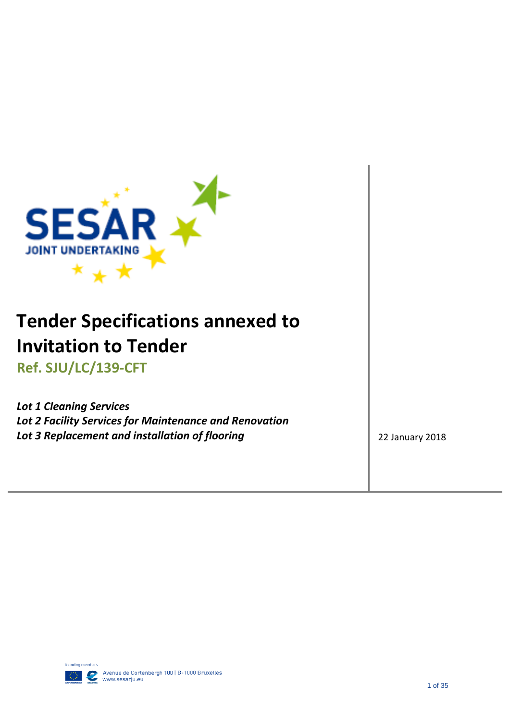

# **Tender Specifications annexed to Invitation to Tender**

**Ref. SJU/LC/139-CFT** 

<span id="page-0-0"></span>*Lot 1 Cleaning Services Lot 2 Facility Services for Maintenance and Renovation* **Lot 3 Replacement and installation of flooring 22 January 2018** 22 January 2018

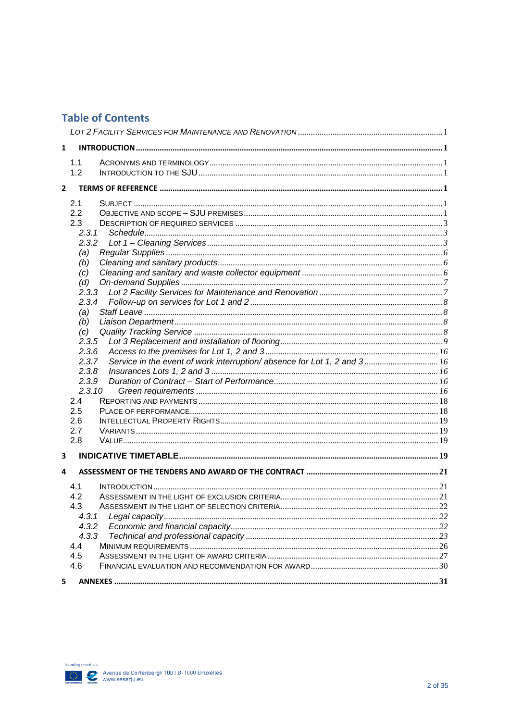### **Table of Contents**

| 1              |                                                                                  |  |
|----------------|----------------------------------------------------------------------------------|--|
|                | 1.1                                                                              |  |
|                | 1.2                                                                              |  |
|                |                                                                                  |  |
| $\overline{2}$ |                                                                                  |  |
|                | 2.1                                                                              |  |
|                | 2.2                                                                              |  |
|                | 2.3                                                                              |  |
|                | 2.3.1                                                                            |  |
|                |                                                                                  |  |
|                | (a)                                                                              |  |
|                | (b)                                                                              |  |
|                | (c)                                                                              |  |
|                | (d)                                                                              |  |
|                | 2.3.3                                                                            |  |
|                | 2.3.4                                                                            |  |
|                | (a)                                                                              |  |
|                | (b)<br>(c)                                                                       |  |
|                | 2.3.5                                                                            |  |
|                | 2.3.6                                                                            |  |
|                | Service in the event of work interruption/absence for Lot 1, 2 and 3 16<br>2.3.7 |  |
|                | 2.3.8                                                                            |  |
|                | 2.3.9                                                                            |  |
|                | 2.3.10                                                                           |  |
|                | 2.4                                                                              |  |
|                | 2.5                                                                              |  |
|                | 2.6                                                                              |  |
|                | 2.7                                                                              |  |
|                | 2.8                                                                              |  |
| 3              |                                                                                  |  |
|                |                                                                                  |  |
| 4              |                                                                                  |  |
|                | 4.1                                                                              |  |
|                | 4.2                                                                              |  |
|                | 4.3                                                                              |  |
|                | 4.3.1                                                                            |  |
|                | 4.3.2                                                                            |  |
|                | 4.3.3                                                                            |  |
|                | 4.4                                                                              |  |
|                | 4.5                                                                              |  |
|                | 4.6                                                                              |  |
|                |                                                                                  |  |
| 5              |                                                                                  |  |

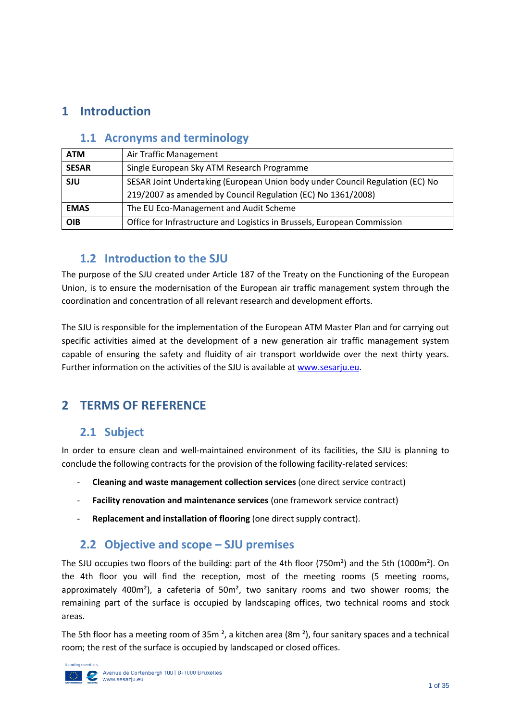# <span id="page-2-1"></span><span id="page-2-0"></span>**1 Introduction**

### **1.1 Acronyms and terminology**

| <b>ATM</b>   | Air Traffic Management                                                        |  |  |
|--------------|-------------------------------------------------------------------------------|--|--|
| <b>SESAR</b> | Single European Sky ATM Research Programme                                    |  |  |
| <b>SJU</b>   | SESAR Joint Undertaking (European Union body under Council Regulation (EC) No |  |  |
|              | 219/2007 as amended by Council Regulation (EC) No 1361/2008)                  |  |  |
| <b>EMAS</b>  | The EU Eco-Management and Audit Scheme                                        |  |  |
| <b>OIB</b>   | Office for Infrastructure and Logistics in Brussels, European Commission      |  |  |

### <span id="page-2-2"></span>**1.2 Introduction to the SJU**

The purpose of the SJU created under Article 187 of the Treaty on the Functioning of the European Union, is to ensure the modernisation of the European air traffic management system through the coordination and concentration of all relevant research and development efforts.

The SJU is responsible for the implementation of the European ATM Master Plan and for carrying out specific activities aimed at the development of a new generation air traffic management system capable of ensuring the safety and fluidity of air transport worldwide over the next thirty years. Further information on the activities of the SJU is available at [www.sesarju.eu.](http://www.sesarju.eu/)

# <span id="page-2-4"></span><span id="page-2-3"></span>**2 TERMS OF REFERENCE**

### **2.1 Subject**

In order to ensure clean and well-maintained environment of its facilities, the SJU is planning to conclude the following contracts for the provision of the following facility-related services:

- **Cleaning and waste management collection services** (one direct service contract)
- **Facility renovation and maintenance services** (one framework service contract)
- **Replacement and installation of flooring** (one direct supply contract).

### <span id="page-2-5"></span>**2.2 Objective and scope – SJU premises**

The SJU occupies two floors of the building: part of the 4th floor (750m²) and the 5th (1000m²). On the 4th floor you will find the reception, most of the meeting rooms (5 meeting rooms, approximately 400 $m<sup>2</sup>$ ), a cafeteria of 50 $m<sup>2</sup>$ , two sanitary rooms and two shower rooms; the remaining part of the surface is occupied by landscaping offices, two technical rooms and stock areas.

The 5th floor has a meeting room of 35m  $^2$ , a kitchen area (8m  $^2$ ), four sanitary spaces and a technical room; the rest of the surface is occupied by landscaped or closed offices.

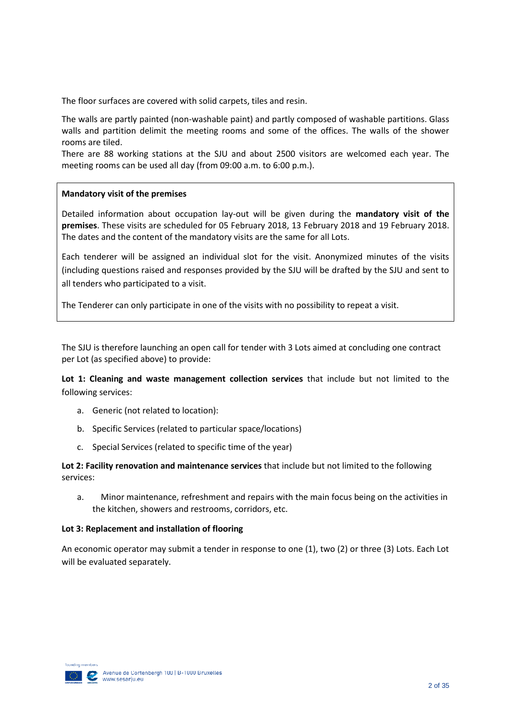The floor surfaces are covered with solid carpets, tiles and resin.

The walls are partly painted (non-washable paint) and partly composed of washable partitions. Glass walls and partition delimit the meeting rooms and some of the offices. The walls of the shower rooms are tiled.

There are 88 working stations at the SJU and about 2500 visitors are welcomed each year. The meeting rooms can be used all day (from 09:00 a.m. to 6:00 p.m.).

#### **Mandatory visit of the premises**

Detailed information about occupation lay-out will be given during the **mandatory visit of the premises**. These visits are scheduled for 05 February 2018, 13 February 2018 and 19 February 2018. The dates and the content of the mandatory visits are the same for all Lots.

Each tenderer will be assigned an individual slot for the visit. Anonymized minutes of the visits (including questions raised and responses provided by the SJU will be drafted by the SJU and sent to all tenders who participated to a visit.

The Tenderer can only participate in one of the visits with no possibility to repeat a visit.

The SJU is therefore launching an open call for tender with 3 Lots aimed at concluding one contract per Lot (as specified above) to provide:

**Lot 1: Cleaning and waste management collection services** that include but not limited to the following services:

- a. Generic (not related to location):
- b. Specific Services (related to particular space/locations)
- c. Special Services (related to specific time of the year)

**Lot 2: Facility renovation and maintenance services** that include but not limited to the following services:

a. Minor maintenance, refreshment and repairs with the main focus being on the activities in the kitchen, showers and restrooms, corridors, etc.

#### **Lot 3: Replacement and installation of flooring**

An economic operator may submit a tender in response to one (1), two (2) or three (3) Lots. Each Lot will be evaluated separately.

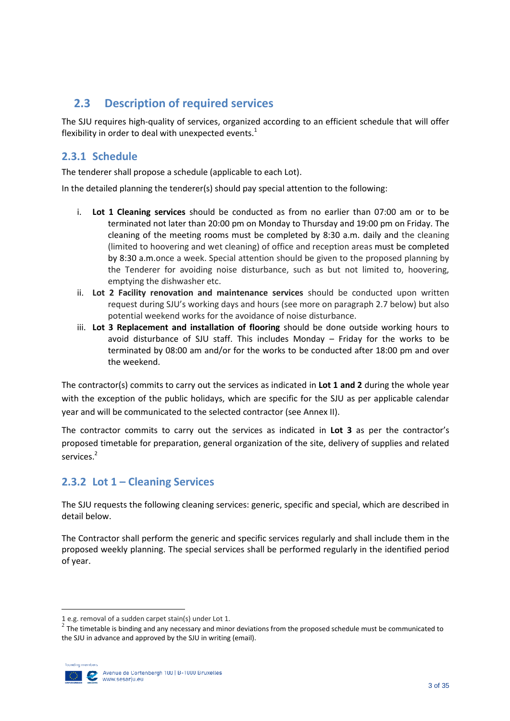### <span id="page-4-0"></span>**2.3 Description of required services**

The SJU requires high-quality of services, organized according to an efficient schedule that will offer flexibility in order to deal with unexpected events.<sup>1</sup>

### <span id="page-4-1"></span>**2.3.1 Schedule**

The tenderer shall propose a schedule (applicable to each Lot).

In the detailed planning the tenderer(s) should pay special attention to the following:

- i. **Lot 1 Cleaning services** should be conducted as from no earlier than 07:00 am or to be terminated not later than 20:00 pm on Monday to Thursday and 19:00 pm on Friday. The cleaning of the meeting rooms must be completed by 8:30 a.m. daily and the cleaning (limited to hoovering and wet cleaning) of office and reception areas must be completed by 8:30 a.m.once a week. Special attention should be given to the proposed planning by the Tenderer for avoiding noise disturbance, such as but not limited to, hoovering, emptying the dishwasher etc.
- ii. **Lot 2 Facility renovation and maintenance services** should be conducted upon written request during SJU's working days and hours (see more on paragraph 2.7 below) but also potential weekend works for the avoidance of noise disturbance.
- iii. **Lot 3 Replacement and installation of flooring** should be done outside working hours to avoid disturbance of SJU staff. This includes Monday – Friday for the works to be terminated by 08:00 am and/or for the works to be conducted after 18:00 pm and over the weekend.

The contractor(s) commits to carry out the services as indicated in **Lot 1 and 2** during the whole year with the exception of the public holidays, which are specific for the SJU as per applicable calendar year and will be communicated to the selected contractor (see Annex II).

The contractor commits to carry out the services as indicated in **Lot 3** as per the contractor's proposed timetable for preparation, general organization of the site, delivery of supplies and related services.<sup>2</sup>

### <span id="page-4-2"></span>**2.3.2 Lot 1 – Cleaning Services**

The SJU requests the following cleaning services: generic, specific and special, which are described in detail below.

The Contractor shall perform the generic and specific services regularly and shall include them in the proposed weekly planning. The special services shall be performed regularly in the identified period of year.

 $^2$  The timetable is binding and any necessary and minor deviations from the proposed schedule must be communicated to the SJU in advance and approved by the SJU in writing (email).



 $\overline{\phantom{a}}$ 

<sup>1</sup> e.g. removal of a sudden carpet stain(s) under Lot 1.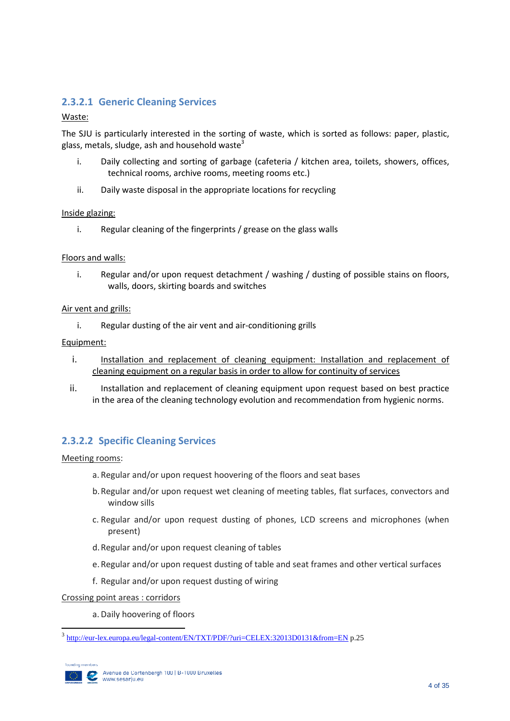### **2.3.2.1 Generic Cleaning Services**

#### Waste:

The SJU is particularly interested in the sorting of waste, which is sorted as follows: paper, plastic, glass, metals, sludge, ash and household waste<sup>3</sup>

- i. Daily collecting and sorting of garbage (cafeteria / kitchen area, toilets, showers, offices, technical rooms, archive rooms, meeting rooms etc.)
- ii. Daily waste disposal in the appropriate locations for recycling

#### Inside glazing:

i. Regular cleaning of the fingerprints / grease on the glass walls

#### Floors and walls:

i. Regular and/or upon request detachment / washing / dusting of possible stains on floors, walls, doors, skirting boards and switches

#### Air vent and grills:

i. Regular dusting of the air vent and air-conditioning grills

#### Equipment:

- i. Installation and replacement of cleaning equipment: Installation and replacement of cleaning equipment on a regular basis in order to allow for continuity of services
- ii. Installation and replacement of cleaning equipment upon request based on best practice in the area of the cleaning technology evolution and recommendation from hygienic norms.

#### **2.3.2.2 Specific Cleaning Services**

#### Meeting rooms:

- a. Regular and/or upon request hoovering of the floors and seat bases
- b.Regular and/or upon request wet cleaning of meeting tables, flat surfaces, convectors and window sills
- c. Regular and/or upon request dusting of phones, LCD screens and microphones (when present)
- d.Regular and/or upon request cleaning of tables
- e. Regular and/or upon request dusting of table and seat frames and other vertical surfaces
- f. Regular and/or upon request dusting of wiring

Crossing point areas : corridors

a. Daily hoovering of floors

<sup>&</sup>lt;sup>3</sup><br><http://eur-lex.europa.eu/legal-content/EN/TXT/PDF/?uri=CELEX:32013D0131&from=EN> p.25

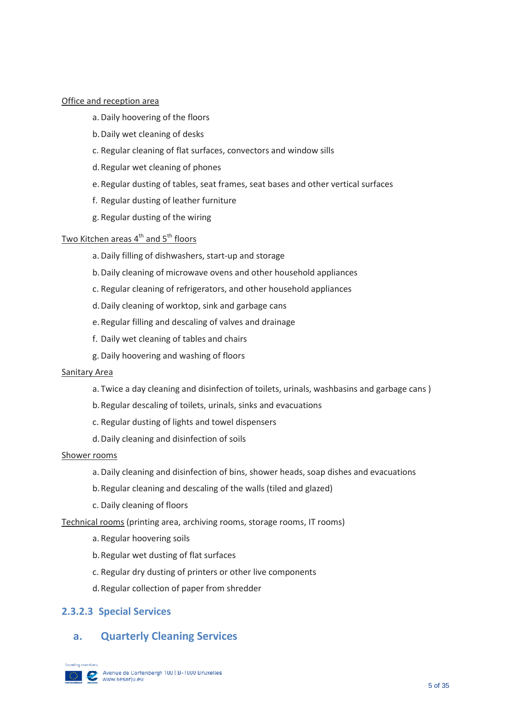#### Office and reception area

- a. Daily hoovering of the floors
- b.Daily wet cleaning of desks
- c. Regular cleaning of flat surfaces, convectors and window sills
- d.Regular wet cleaning of phones
- e. Regular dusting of tables, seat frames, seat bases and other vertical surfaces
- f. Regular dusting of leather furniture
- g. Regular dusting of the wiring

#### <u>Two Kitchen areas 4<sup>th</sup> and 5<sup>th</sup> floors</u>

- a. Daily filling of dishwashers, start-up and storage
- b.Daily cleaning of microwave ovens and other household appliances
- c. Regular cleaning of refrigerators, and other household appliances
- d.Daily cleaning of worktop, sink and garbage cans
- e. Regular filling and descaling of valves and drainage
- f. Daily wet cleaning of tables and chairs
- g. Daily hoovering and washing of floors

#### Sanitary Area

- a. Twice a day cleaning and disinfection of toilets, urinals, washbasins and garbage cans )
- b.Regular descaling of toilets, urinals, sinks and evacuations
- c. Regular dusting of lights and towel dispensers
- d.Daily cleaning and disinfection of soils

#### Shower rooms

- a. Daily cleaning and disinfection of bins, shower heads, soap dishes and evacuations
- b.Regular cleaning and descaling of the walls (tiled and glazed)
- c. Daily cleaning of floors

Technical rooms (printing area, archiving rooms, storage rooms, IT rooms)

- a. Regular hoovering soils
- b.Regular wet dusting of flat surfaces
- c. Regular dry dusting of printers or other live components
- d.Regular collection of paper from shredder

#### **2.3.2.3 Special Services**

### **a. Quarterly Cleaning Services**

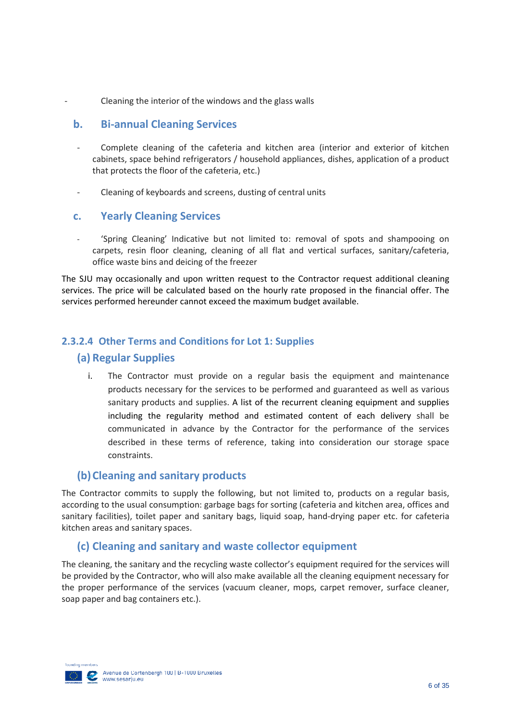Cleaning the interior of the windows and the glass walls

#### **b. Bi-annual Cleaning Services**

- Complete cleaning of the cafeteria and kitchen area (interior and exterior of kitchen cabinets, space behind refrigerators / household appliances, dishes, application of a product that protects the floor of the cafeteria, etc.)
- Cleaning of keyboards and screens, dusting of central units

#### **c. Yearly Cleaning Services**

- 'Spring Cleaning' Indicative but not limited to: removal of spots and shampooing on carpets, resin floor cleaning, cleaning of all flat and vertical surfaces, sanitary/cafeteria, office waste bins and deicing of the freezer

The SJU may occasionally and upon written request to the Contractor request additional cleaning services. The price will be calculated based on the hourly rate proposed in the financial offer. The services performed hereunder cannot exceed the maximum budget available.

#### <span id="page-7-0"></span>**2.3.2.4 Other Terms and Conditions for Lot 1: Supplies**

#### **(a) Regular Supplies**

i. The Contractor must provide on a regular basis the equipment and maintenance products necessary for the services to be performed and guaranteed as well as various sanitary products and supplies. A list of the recurrent cleaning equipment and supplies including the regularity method and estimated content of each delivery shall be communicated in advance by the Contractor for the performance of the services described in these terms of reference, taking into consideration our storage space constraints.

#### <span id="page-7-1"></span>**(b)Cleaning and sanitary products**

The Contractor commits to supply the following, but not limited to, products on a regular basis, according to the usual consumption: garbage bags for sorting (cafeteria and kitchen area, offices and sanitary facilities), toilet paper and sanitary bags, liquid soap, hand-drying paper etc. for cafeteria kitchen areas and sanitary spaces.

#### <span id="page-7-2"></span>**(c) Cleaning and sanitary and waste collector equipment**

The cleaning, the sanitary and the recycling waste collector's equipment required for the services will be provided by the Contractor, who will also make available all the cleaning equipment necessary for the proper performance of the services (vacuum cleaner, mops, carpet remover, surface cleaner, soap paper and bag containers etc.).

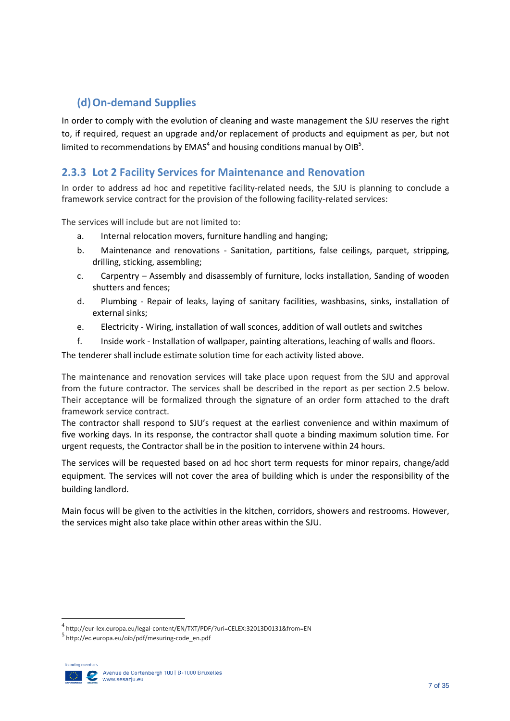### <span id="page-8-0"></span>**(d)On-demand Supplies**

In order to comply with the evolution of cleaning and waste management the SJU reserves the right to, if required, request an upgrade and/or replacement of products and equipment as per, but not limited to recommendations by EMAS<sup>4</sup> and housing conditions manual by OIB<sup>5</sup>.

### <span id="page-8-1"></span>**2.3.3 Lot 2 Facility Services for Maintenance and Renovation**

In order to address ad hoc and repetitive facility-related needs, the SJU is planning to conclude a framework service contract for the provision of the following facility-related services:

The services will include but are not limited to:

- a. Internal relocation movers, furniture handling and hanging;
- b. Maintenance and renovations Sanitation, partitions, false ceilings, parquet, stripping, drilling, sticking, assembling;
- c. Carpentry Assembly and disassembly of furniture, locks installation, Sanding of wooden shutters and fences;
- d. Plumbing Repair of leaks, laying of sanitary facilities, washbasins, sinks, installation of external sinks;
- e. Electricity Wiring, installation of wall sconces, addition of wall outlets and switches
- f. Inside work Installation of wallpaper, painting alterations, leaching of walls and floors.

The tenderer shall include estimate solution time for each activity listed above.

The maintenance and renovation services will take place upon request from the SJU and approval from the future contractor. The services shall be described in the report as per section 2.5 below. Their acceptance will be formalized through the signature of an order form attached to the draft framework service contract.

The contractor shall respond to SJU's request at the earliest convenience and within maximum of five working days. In its response, the contractor shall quote a binding maximum solution time. For urgent requests, the Contractor shall be in the position to intervene within 24 hours.

The services will be requested based on ad hoc short term requests for minor repairs, change/add equipment. The services will not cover the area of building which is under the responsibility of the building landlord.

Main focus will be given to the activities in the kitchen, corridors, showers and restrooms. However, the services might also take place within other areas within the SJU.

<sup>5</sup> http://ec.europa.eu/oib/pdf/mesuring-code\_en.pdf



**.** 

<sup>4</sup> http://eur-lex.europa.eu/legal-content/EN/TXT/PDF/?uri=CELEX:32013D0131&from=EN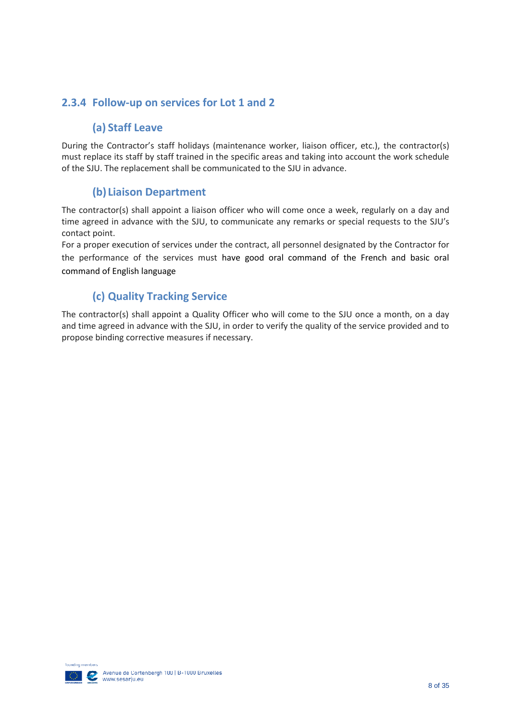### <span id="page-9-1"></span><span id="page-9-0"></span>**2.3.4 Follow-up on services for Lot 1 and 2**

### **(a) Staff Leave**

During the Contractor's staff holidays (maintenance worker, liaison officer, etc.), the contractor(s) must replace its staff by staff trained in the specific areas and taking into account the work schedule of the SJU. The replacement shall be communicated to the SJU in advance.

### **(b) Liaison Department**

<span id="page-9-2"></span>The contractor(s) shall appoint a liaison officer who will come once a week, regularly on a day and time agreed in advance with the SJU, to communicate any remarks or special requests to the SJU's contact point.

For a proper execution of services under the contract, all personnel designated by the Contractor for the performance of the services must have good oral command of the French and basic oral command of English language

### **(c) Quality Tracking Service**

<span id="page-9-3"></span>The contractor(s) shall appoint a Quality Officer who will come to the SJU once a month, on a day and time agreed in advance with the SJU, in order to verify the quality of the service provided and to propose binding corrective measures if necessary.

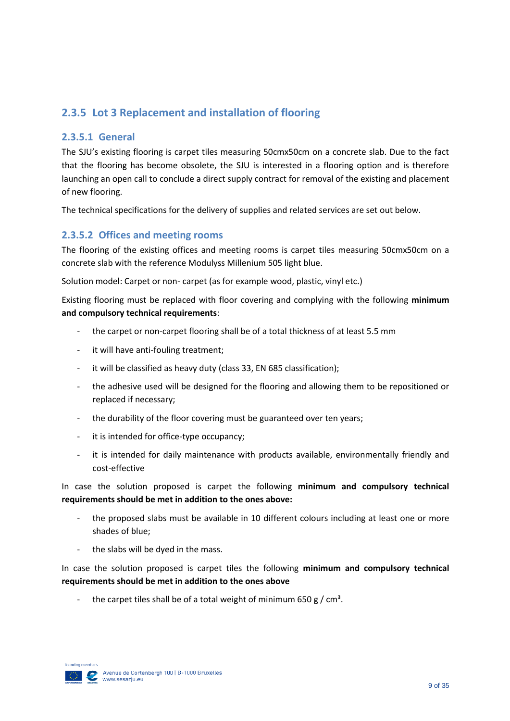### <span id="page-10-0"></span>**2.3.5 Lot 3 Replacement and installation of flooring**

#### **2.3.5.1 General**

The SJU's existing flooring is carpet tiles measuring 50cmx50cm on a concrete slab. Due to the fact that the flooring has become obsolete, the SJU is interested in a flooring option and is therefore launching an open call to conclude a direct supply contract for removal of the existing and placement of new flooring.

The technical specifications for the delivery of supplies and related services are set out below.

#### **2.3.5.2 Offices and meeting rooms**

The flooring of the existing offices and meeting rooms is carpet tiles measuring 50cmx50cm on a concrete slab with the reference Modulyss Millenium 505 light blue.

Solution model: Carpet or non- carpet (as for example wood, plastic, vinyl etc.)

Existing flooring must be replaced with floor covering and complying with the following **minimum and compulsory technical requirements**:

- the carpet or non-carpet flooring shall be of a total thickness of at least 5.5 mm
- it will have anti-fouling treatment;
- it will be classified as heavy duty (class 33, EN 685 classification);
- the adhesive used will be designed for the flooring and allowing them to be repositioned or replaced if necessary;
- the durability of the floor covering must be guaranteed over ten years;
- it is intended for office-type occupancy;
- it is intended for daily maintenance with products available, environmentally friendly and cost-effective

In case the solution proposed is carpet the following **minimum and compulsory technical requirements should be met in addition to the ones above:**

- the proposed slabs must be available in 10 different colours including at least one or more shades of blue;
- the slabs will be dyed in the mass.

In case the solution proposed is carpet tiles the following **minimum and compulsory technical requirements should be met in addition to the ones above**

the carpet tiles shall be of a total weight of minimum 650 g /  $cm<sup>3</sup>$ .

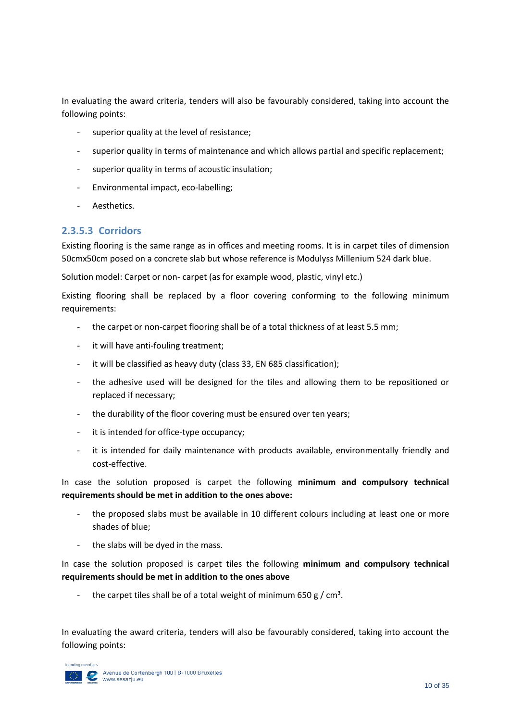In evaluating the award criteria, tenders will also be favourably considered, taking into account the following points:

- superior quality at the level of resistance;
- superior quality in terms of maintenance and which allows partial and specific replacement;
- superior quality in terms of acoustic insulation;
- Environmental impact, eco-labelling;
- Aesthetics.

#### **2.3.5.3 Corridors**

Existing flooring is the same range as in offices and meeting rooms. It is in carpet tiles of dimension 50cmx50cm posed on a concrete slab but whose reference is Modulyss Millenium 524 dark blue.

Solution model: Carpet or non- carpet (as for example wood, plastic, vinyl etc.)

Existing flooring shall be replaced by a floor covering conforming to the following minimum requirements:

- the carpet or non-carpet flooring shall be of a total thickness of at least 5.5 mm;
- it will have anti-fouling treatment;
- it will be classified as heavy duty (class 33, EN 685 classification);
- the adhesive used will be designed for the tiles and allowing them to be repositioned or replaced if necessary;
- the durability of the floor covering must be ensured over ten years;
- it is intended for office-type occupancy;
- it is intended for daily maintenance with products available, environmentally friendly and cost-effective.

In case the solution proposed is carpet the following **minimum and compulsory technical requirements should be met in addition to the ones above:**

- the proposed slabs must be available in 10 different colours including at least one or more shades of blue;
- the slabs will be dyed in the mass.

In case the solution proposed is carpet tiles the following **minimum and compulsory technical requirements should be met in addition to the ones above**

the carpet tiles shall be of a total weight of minimum 650 g /  $cm<sup>3</sup>$ .

In evaluating the award criteria, tenders will also be favourably considered, taking into account the following points:

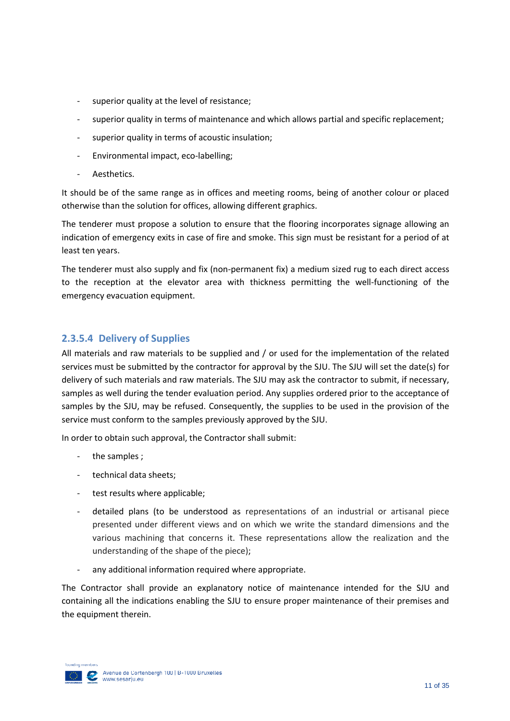- superior quality at the level of resistance;
- superior quality in terms of maintenance and which allows partial and specific replacement;
- superior quality in terms of acoustic insulation;
- Environmental impact, eco-labelling;
- Aesthetics.

It should be of the same range as in offices and meeting rooms, being of another colour or placed otherwise than the solution for offices, allowing different graphics.

The tenderer must propose a solution to ensure that the flooring incorporates signage allowing an indication of emergency exits in case of fire and smoke. This sign must be resistant for a period of at least ten years.

The tenderer must also supply and fix (non-permanent fix) a medium sized rug to each direct access to the reception at the elevator area with thickness permitting the well-functioning of the emergency evacuation equipment.

#### **2.3.5.4 Delivery of Supplies**

All materials and raw materials to be supplied and / or used for the implementation of the related services must be submitted by the contractor for approval by the SJU. The SJU will set the date(s) for delivery of such materials and raw materials. The SJU may ask the contractor to submit, if necessary, samples as well during the tender evaluation period. Any supplies ordered prior to the acceptance of samples by the SJU, may be refused. Consequently, the supplies to be used in the provision of the service must conform to the samples previously approved by the SJU.

In order to obtain such approval, the Contractor shall submit:

- the samples;
- technical data sheets;
- test results where applicable;
- detailed plans (to be understood as representations of an industrial or artisanal piece presented under different views and on which we write the standard dimensions and the various machining that concerns it. These representations allow the realization and the understanding of the shape of the piece);
- any additional information required where appropriate.

The Contractor shall provide an explanatory notice of maintenance intended for the SJU and containing all the indications enabling the SJU to ensure proper maintenance of their premises and the equipment therein.

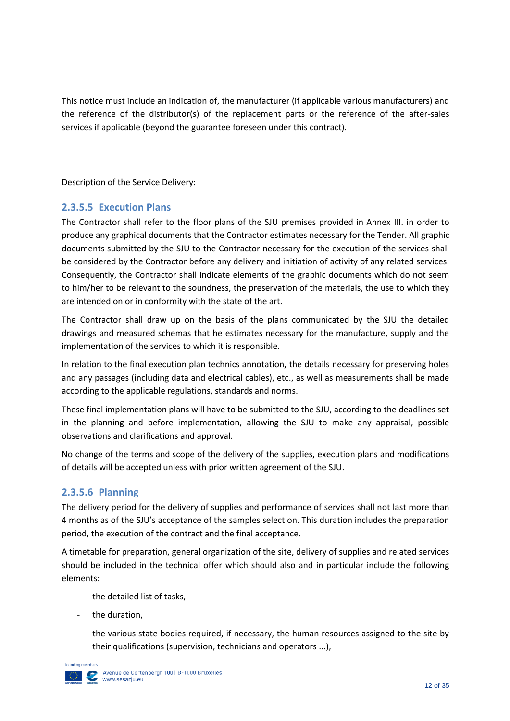This notice must include an indication of, the manufacturer (if applicable various manufacturers) and the reference of the distributor(s) of the replacement parts or the reference of the after-sales services if applicable (beyond the guarantee foreseen under this contract).

Description of the Service Delivery:

#### **2.3.5.5 Execution Plans**

The Contractor shall refer to the floor plans of the SJU premises provided in Annex III. in order to produce any graphical documents that the Contractor estimates necessary for the Tender. All graphic documents submitted by the SJU to the Contractor necessary for the execution of the services shall be considered by the Contractor before any delivery and initiation of activity of any related services. Consequently, the Contractor shall indicate elements of the graphic documents which do not seem to him/her to be relevant to the soundness, the preservation of the materials, the use to which they are intended on or in conformity with the state of the art.

The Contractor shall draw up on the basis of the plans communicated by the SJU the detailed drawings and measured schemas that he estimates necessary for the manufacture, supply and the implementation of the services to which it is responsible.

In relation to the final execution plan technics annotation, the details necessary for preserving holes and any passages (including data and electrical cables), etc., as well as measurements shall be made according to the applicable regulations, standards and norms.

These final implementation plans will have to be submitted to the SJU, according to the deadlines set in the planning and before implementation, allowing the SJU to make any appraisal, possible observations and clarifications and approval.

No change of the terms and scope of the delivery of the supplies, execution plans and modifications of details will be accepted unless with prior written agreement of the SJU.

### **2.3.5.6 Planning**

The delivery period for the delivery of supplies and performance of services shall not last more than 4 months as of the SJU's acceptance of the samples selection. This duration includes the preparation period, the execution of the contract and the final acceptance.

A timetable for preparation, general organization of the site, delivery of supplies and related services should be included in the technical offer which should also and in particular include the following elements:

- the detailed list of tasks,
- the duration,
- the various state bodies required, if necessary, the human resources assigned to the site by their qualifications (supervision, technicians and operators ...),

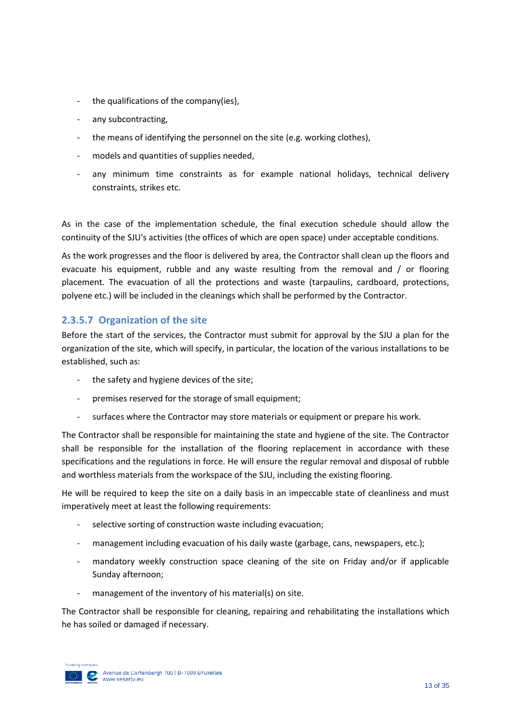- the qualifications of the company(ies),
- any subcontracting,
- the means of identifying the personnel on the site (e.g. working clothes),
- models and quantities of supplies needed,
- any minimum time constraints as for example national holidays, technical delivery constraints, strikes etc.

As in the case of the implementation schedule, the final execution schedule should allow the continuity of the SJU's activities (the offices of which are open space) under acceptable conditions.

As the work progresses and the floor is delivered by area, the Contractor shall clean up the floors and evacuate his equipment, rubble and any waste resulting from the removal and / or flooring placement. The evacuation of all the protections and waste (tarpaulins, cardboard, protections, polyene etc.) will be included in the cleanings which shall be performed by the Contractor.

### **2.3.5.7 Organization of the site**

Before the start of the services, the Contractor must submit for approval by the SJU a plan for the organization of the site, which will specify, in particular, the location of the various installations to be established, such as:

- the safety and hygiene devices of the site;
- premises reserved for the storage of small equipment;
- surfaces where the Contractor may store materials or equipment or prepare his work.

The Contractor shall be responsible for maintaining the state and hygiene of the site. The Contractor shall be responsible for the installation of the flooring replacement in accordance with these specifications and the regulations in force. He will ensure the regular removal and disposal of rubble and worthless materials from the workspace of the SJU, including the existing flooring.

He will be required to keep the site on a daily basis in an impeccable state of cleanliness and must imperatively meet at least the following requirements:

- selective sorting of construction waste including evacuation;
- management including evacuation of his daily waste (garbage, cans, newspapers, etc.);
- mandatory weekly construction space cleaning of the site on Friday and/or if applicable Sunday afternoon;
- management of the inventory of his material(s) on site.

The Contractor shall be responsible for cleaning, repairing and rehabilitating the installations which he has soiled or damaged if necessary.

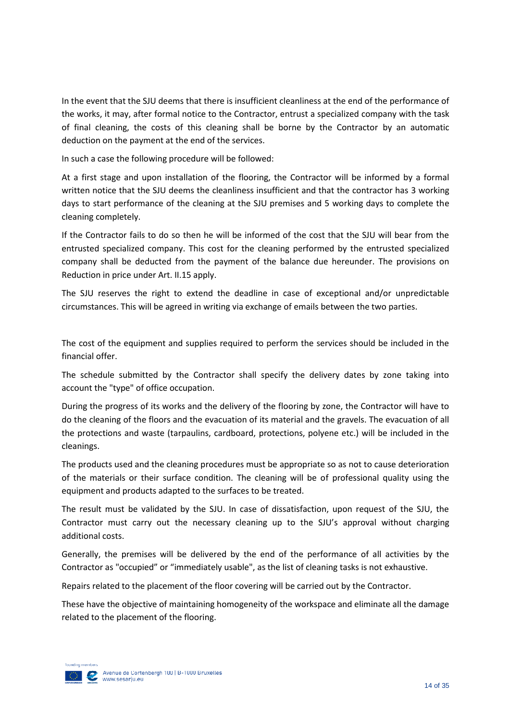In the event that the SJU deems that there is insufficient cleanliness at the end of the performance of the works, it may, after formal notice to the Contractor, entrust a specialized company with the task of final cleaning, the costs of this cleaning shall be borne by the Contractor by an automatic deduction on the payment at the end of the services.

In such a case the following procedure will be followed:

At a first stage and upon installation of the flooring, the Contractor will be informed by a formal written notice that the SJU deems the cleanliness insufficient and that the contractor has 3 working days to start performance of the cleaning at the SJU premises and 5 working days to complete the cleaning completely.

If the Contractor fails to do so then he will be informed of the cost that the SJU will bear from the entrusted specialized company. This cost for the cleaning performed by the entrusted specialized company shall be deducted from the payment of the balance due hereunder. The provisions on Reduction in price under Art. II.15 apply.

The SJU reserves the right to extend the deadline in case of exceptional and/or unpredictable circumstances. This will be agreed in writing via exchange of emails between the two parties.

The cost of the equipment and supplies required to perform the services should be included in the financial offer.

The schedule submitted by the Contractor shall specify the delivery dates by zone taking into account the "type" of office occupation.

During the progress of its works and the delivery of the flooring by zone, the Contractor will have to do the cleaning of the floors and the evacuation of its material and the gravels. The evacuation of all the protections and waste (tarpaulins, cardboard, protections, polyene etc.) will be included in the cleanings.

The products used and the cleaning procedures must be appropriate so as not to cause deterioration of the materials or their surface condition. The cleaning will be of professional quality using the equipment and products adapted to the surfaces to be treated.

The result must be validated by the SJU. In case of dissatisfaction, upon request of the SJU, the Contractor must carry out the necessary cleaning up to the SJU's approval without charging additional costs.

Generally, the premises will be delivered by the end of the performance of all activities by the Contractor as "occupied" or "immediately usable", as the list of cleaning tasks is not exhaustive.

Repairs related to the placement of the floor covering will be carried out by the Contractor.

These have the objective of maintaining homogeneity of the workspace and eliminate all the damage related to the placement of the flooring.

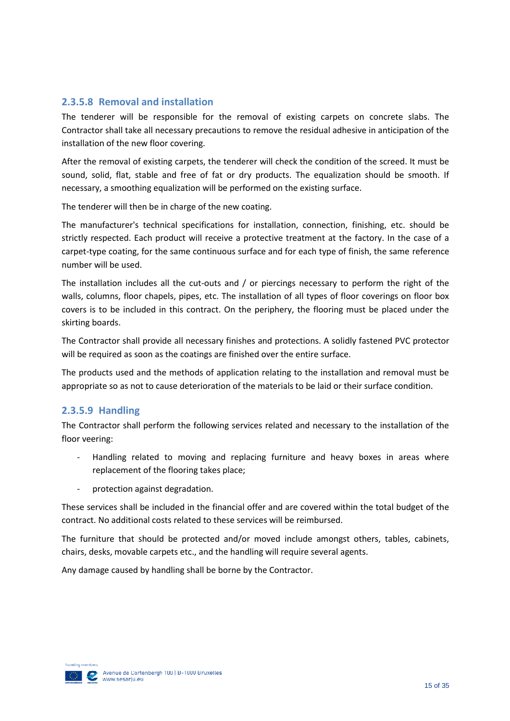### **2.3.5.8 Removal and installation**

The tenderer will be responsible for the removal of existing carpets on concrete slabs. The Contractor shall take all necessary precautions to remove the residual adhesive in anticipation of the installation of the new floor covering.

After the removal of existing carpets, the tenderer will check the condition of the screed. It must be sound, solid, flat, stable and free of fat or dry products. The equalization should be smooth. If necessary, a smoothing equalization will be performed on the existing surface.

The tenderer will then be in charge of the new coating.

The manufacturer's technical specifications for installation, connection, finishing, etc. should be strictly respected. Each product will receive a protective treatment at the factory. In the case of a carpet-type coating, for the same continuous surface and for each type of finish, the same reference number will be used.

The installation includes all the cut-outs and / or piercings necessary to perform the right of the walls, columns, floor chapels, pipes, etc. The installation of all types of floor coverings on floor box covers is to be included in this contract. On the periphery, the flooring must be placed under the skirting boards.

The Contractor shall provide all necessary finishes and protections. A solidly fastened PVC protector will be required as soon as the coatings are finished over the entire surface.

The products used and the methods of application relating to the installation and removal must be appropriate so as not to cause deterioration of the materials to be laid or their surface condition.

#### **2.3.5.9 Handling**

The Contractor shall perform the following services related and necessary to the installation of the floor veering:

- Handling related to moving and replacing furniture and heavy boxes in areas where replacement of the flooring takes place;
- protection against degradation.

These services shall be included in the financial offer and are covered within the total budget of the contract. No additional costs related to these services will be reimbursed.

The furniture that should be protected and/or moved include amongst others, tables, cabinets, chairs, desks, movable carpets etc., and the handling will require several agents.

Any damage caused by handling shall be borne by the Contractor.

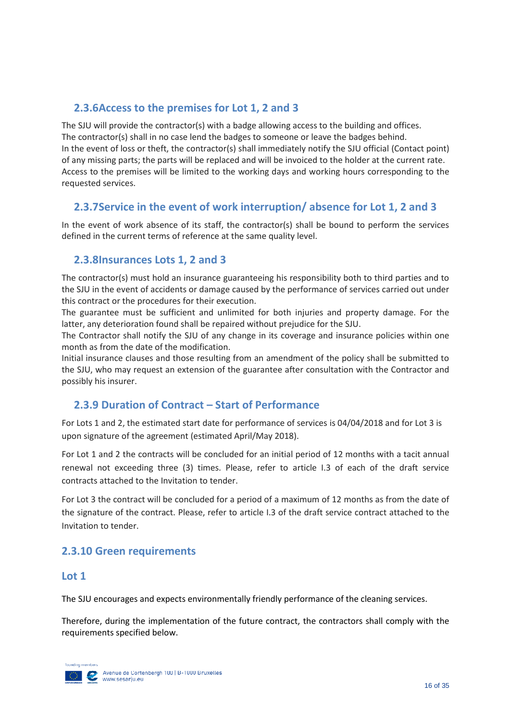### <span id="page-17-0"></span>**2.3.6Access to the premises for Lot 1, 2 and 3**

The SJU will provide the contractor(s) with a badge allowing access to the building and offices. The contractor(s) shall in no case lend the badges to someone or leave the badges behind. In the event of loss or theft, the contractor(s) shall immediately notify the SJU official (Contact point) of any missing parts; the parts will be replaced and will be invoiced to the holder at the current rate. Access to the premises will be limited to the working days and working hours corresponding to the requested services.

### <span id="page-17-1"></span>**2.3.7Service in the event of work interruption/ absence for Lot 1, 2 and 3**

In the event of work absence of its staff, the contractor(s) shall be bound to perform the services defined in the current terms of reference at the same quality level.

### <span id="page-17-2"></span>**2.3.8Insurances Lots 1, 2 and 3**

The contractor(s) must hold an insurance guaranteeing his responsibility both to third parties and to the SJU in the event of accidents or damage caused by the performance of services carried out under this contract or the procedures for their execution.

The guarantee must be sufficient and unlimited for both injuries and property damage. For the latter, any deterioration found shall be repaired without prejudice for the SJU.

The Contractor shall notify the SJU of any change in its coverage and insurance policies within one month as from the date of the modification.

Initial insurance clauses and those resulting from an amendment of the policy shall be submitted to the SJU, who may request an extension of the guarantee after consultation with the Contractor and possibly his insurer.

### <span id="page-17-3"></span>**2.3.9 Duration of Contract – Start of Performance**

For Lots 1 and 2, the estimated start date for performance of services is 04/04/2018 and for Lot 3 is upon signature of the agreement (estimated April/May 2018).

For Lot 1 and 2 the contracts will be concluded for an initial period of 12 months with a tacit annual renewal not exceeding three (3) times. Please, refer to article I.3 of each of the draft service contracts attached to the Invitation to tender.

For Lot 3 the contract will be concluded for a period of a maximum of 12 months as from the date of the signature of the contract. Please, refer to article I.3 of the draft service contract attached to the Invitation to tender.

### <span id="page-17-4"></span>**2.3.10 Green requirements**

#### **Lot 1**

The SJU encourages and expects environmentally friendly performance of the cleaning services.

Therefore, during the implementation of the future contract, the contractors shall comply with the requirements specified below.

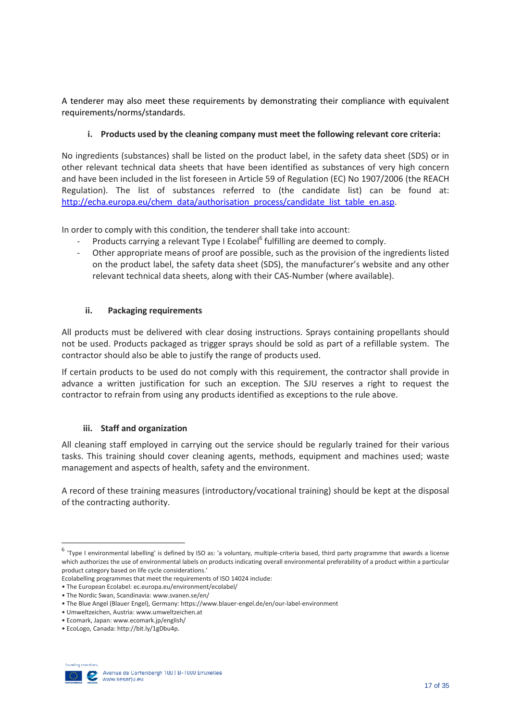A tenderer may also meet these requirements by demonstrating their compliance with equivalent requirements/norms/standards.

#### **i. Products used by the cleaning company must meet the following relevant core criteria:**

No ingredients (substances) shall be listed on the product label, in the safety data sheet (SDS) or in other relevant technical data sheets that have been identified as substances of very high concern and have been included in the list foreseen in Article 59 of Regulation (EC) No 1907/2006 (the REACH Regulation). The list of substances referred to (the candidate list) can be found at: [http://echa.europa.eu/chem\\_data/authorisation\\_process/candidate\\_list\\_table\\_en.asp.](http://echa.europa.eu/chem_data/authorisation_process/candidate_list_table_en.asp)

In order to comply with this condition, the tenderer shall take into account:

- Products carrying a relevant Type I Ecolabel<sup>6</sup> fulfilling are deemed to comply.
- Other appropriate means of proof are possible, such as the provision of the ingredients listed on the product label, the safety data sheet (SDS), the manufacturer's website and any other relevant technical data sheets, along with their CAS-Number (where available).

#### **ii. Packaging requirements**

All products must be delivered with clear dosing instructions. Sprays containing propellants should not be used. Products packaged as trigger sprays should be sold as part of a refillable system. The contractor should also be able to justify the range of products used.

If certain products to be used do not comply with this requirement, the contractor shall provide in advance a written justification for such an exception. The SJU reserves a right to request the contractor to refrain from using any products identified as exceptions to the rule above.

#### **iii. Staff and organization**

All cleaning staff employed in carrying out the service should be regularly trained for their various tasks. This training should cover cleaning agents, methods, equipment and machines used; waste management and aspects of health, safety and the environment.

A record of these training measures (introductory/vocational training) should be kept at the disposal of the contracting authority.

<sup>•</sup> EcoLogo, Canada: [http://bit.ly/1gDbu4p.](http://bit.ly/1gDbu4p) 



**.** 

<sup>&</sup>lt;sup>6</sup> 'Type I environmental labelling' is defined by ISO as: 'a voluntary, multiple-criteria based, third party programme that awards a license which authorizes the use of environmental labels on products indicating overall environmental preferability of a product within a particular product category based on life cycle considerations.'

Ecolabelling programmes that meet the requirements of ISO 14024 include:

<sup>•</sup> The European Ecolabel: ec.europa.eu/environment/ecolabel/

<sup>•</sup> The Nordic Swan, Scandinavia: www.svanen.se/en/

<sup>•</sup> The Blue Angel (Blauer Engel), Germany: https://www.blauer-engel.de/en/our-label-environment

<sup>•</sup> Umweltzeichen, Austria: www.umweltzeichen.at

<sup>•</sup> Ecomark, Japan: www.ecomark.jp/english/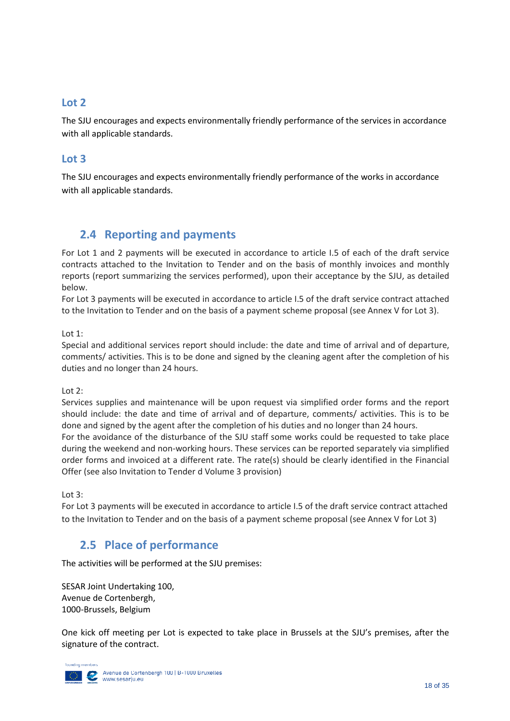### **Lot 2**

The SJU encourages and expects environmentally friendly performance of the services in accordance with all applicable standards.

### **Lot 3**

The SJU encourages and expects environmentally friendly performance of the works in accordance with all applicable standards.

### <span id="page-19-0"></span>**2.4 Reporting and payments**

For Lot 1 and 2 payments will be executed in accordance to article I.5 of each of the draft service contracts attached to the Invitation to Tender and on the basis of monthly invoices and monthly reports (report summarizing the services performed), upon their acceptance by the SJU, as detailed below.

For Lot 3 payments will be executed in accordance to article I.5 of the draft service contract attached to the Invitation to Tender and on the basis of a payment scheme proposal (see Annex V for Lot 3).

Lot 1:

Special and additional services report should include: the date and time of arrival and of departure, comments/ activities. This is to be done and signed by the cleaning agent after the completion of his duties and no longer than 24 hours.

Lot 2:

Services supplies and maintenance will be upon request via simplified order forms and the report should include: the date and time of arrival and of departure, comments/ activities. This is to be done and signed by the agent after the completion of his duties and no longer than 24 hours. For the avoidance of the disturbance of the SJU staff some works could be requested to take place during the weekend and non-working hours. These services can be reported separately via simplified order forms and invoiced at a different rate. The rate(s) should be clearly identified in the Financial Offer (see also Invitation to Tender d Volume 3 provision)

Lot 3:

For Lot 3 payments will be executed in accordance to article I.5 of the draft service contract attached to the Invitation to Tender and on the basis of a payment scheme proposal (see Annex V for Lot 3)

### <span id="page-19-1"></span>**2.5 Place of performance**

The activities will be performed at the SJU premises:

SESAR Joint Undertaking 100, Avenue de Cortenbergh, 1000-Brussels, Belgium

One kick off meeting per Lot is expected to take place in Brussels at the SJU's premises, after the signature of the contract.

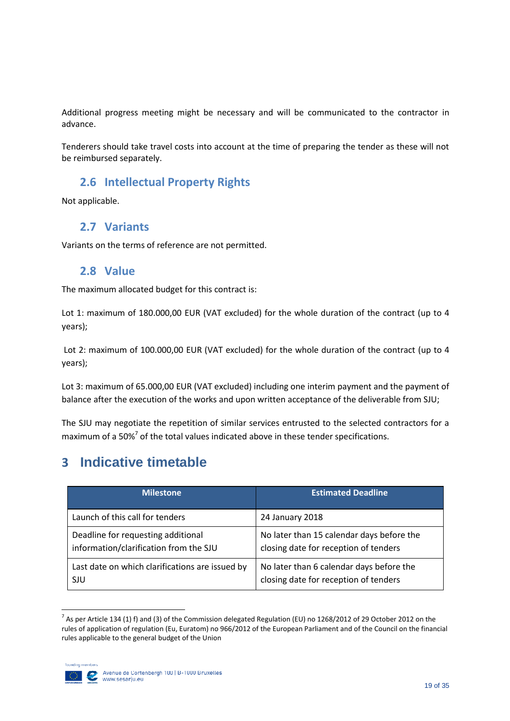Additional progress meeting might be necessary and will be communicated to the contractor in advance.

<span id="page-20-0"></span>Tenderers should take travel costs into account at the time of preparing the tender as these will not be reimbursed separately.

### **2.6 Intellectual Property Rights**

<span id="page-20-1"></span>Not applicable.

### **2.7 Variants**

<span id="page-20-2"></span>Variants on the terms of reference are not permitted.

### **2.8 Value**

The maximum allocated budget for this contract is:

Lot 1: maximum of 180.000,00 EUR (VAT excluded) for the whole duration of the contract (up to 4 years);

Lot 2: maximum of 100.000,00 EUR (VAT excluded) for the whole duration of the contract (up to 4 years);

Lot 3: maximum of 65.000,00 EUR (VAT excluded) including one interim payment and the payment of balance after the execution of the works and upon written acceptance of the deliverable from SJU;

The SJU may negotiate the repetition of similar services entrusted to the selected contractors for a maximum of a 50% $7$  of the total values indicated above in these tender specifications.

# <span id="page-20-3"></span>**3 Indicative timetable**

| <b>Milestone</b>                                | <b>Estimated Deadline</b>                 |
|-------------------------------------------------|-------------------------------------------|
| Launch of this call for tenders                 | 24 January 2018                           |
| Deadline for requesting additional              | No later than 15 calendar days before the |
| information/clarification from the SJU          | closing date for reception of tenders     |
| Last date on which clarifications are issued by | No later than 6 calendar days before the  |
| SJU                                             | closing date for reception of tenders     |

 7 As per Article 134 (1) f) and (3) of the Commission delegated Regulation (EU) no 1268/2012 of 29 October 2012 on the rules of application of regulation (Eu, Euratom) no 966/2012 of the European Parliament and of the Council on the financial rules applicable to the general budget of the Union

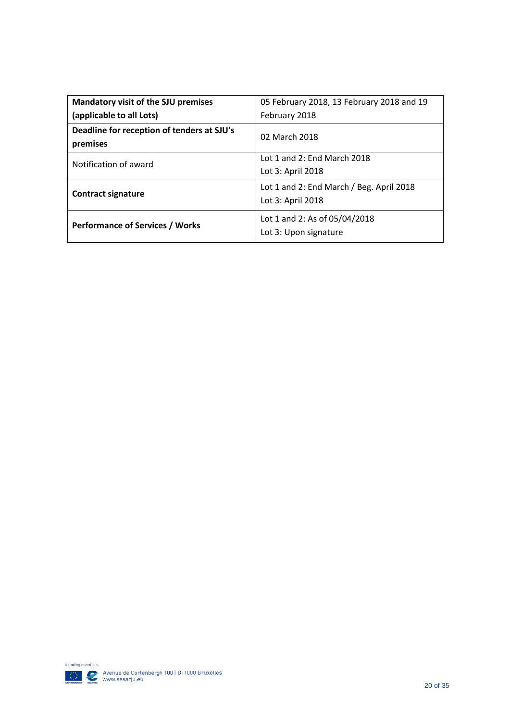| Mandatory visit of the SJU premises                    | 05 February 2018, 13 February 2018 and 19                     |  |  |  |
|--------------------------------------------------------|---------------------------------------------------------------|--|--|--|
| (applicable to all Lots)                               | February 2018                                                 |  |  |  |
| Deadline for reception of tenders at SJU's<br>premises | 02 March 2018                                                 |  |  |  |
| Notification of award                                  | Lot 1 and 2: End March 2018<br>Lot 3: April 2018              |  |  |  |
| <b>Contract signature</b>                              | Lot 1 and 2: End March / Beg. April 2018<br>Lot 3: April 2018 |  |  |  |
| <b>Performance of Services / Works</b>                 | Lot 1 and 2: As of 05/04/2018<br>Lot 3: Upon signature        |  |  |  |

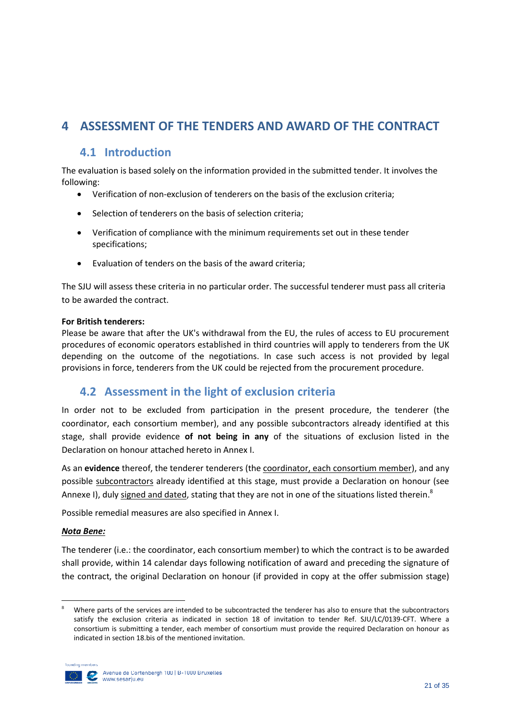# <span id="page-22-1"></span><span id="page-22-0"></span>**4 ASSESSMENT OF THE TENDERS AND AWARD OF THE CONTRACT**

### **4.1 Introduction**

The evaluation is based solely on the information provided in the submitted tender. It involves the following:

- Verification of non-exclusion of tenderers on the basis of the exclusion criteria;
- Selection of tenderers on the basis of selection criteria;
- Verification of compliance with the minimum requirements set out in these tender specifications;
- Evaluation of tenders on the basis of the award criteria;

The SJU will assess these criteria in no particular order. The successful tenderer must pass all criteria to be awarded the contract.

#### **For British tenderers:**

Please be aware that after the UK's withdrawal from the EU, the rules of access to EU procurement procedures of economic operators established in third countries will apply to tenderers from the UK depending on the outcome of the negotiations. In case such access is not provided by legal provisions in force, tenderers from the UK could be rejected from the procurement procedure.

### <span id="page-22-2"></span>**4.2 Assessment in the light of exclusion criteria**

In order not to be excluded from participation in the present procedure, the tenderer (the coordinator, each consortium member), and any possible subcontractors already identified at this stage, shall provide evidence **of not being in any** of the situations of exclusion listed in the Declaration on honour attached hereto in Annex I.

As an **evidence** thereof, the tenderer tenderers (the coordinator, each consortium member), and any possible subcontractors already identified at this stage, must provide a Declaration on honour (see Annexe I), duly signed and dated, stating that they are not in one of the situations listed therein.<sup>8</sup>

Possible remedial measures are also specified in Annex I.

#### *Nota Bene:*

The tenderer (i.e.: the coordinator, each consortium member) to which the contract is to be awarded shall provide, within 14 calendar days following notification of award and preceding the signature of the contract, the original Declaration on honour (if provided in copy at the offer submission stage)

Where parts of the services are intended to be subcontracted the tenderer has also to ensure that the subcontractors satisfy the exclusion criteria as indicated in section 18 of invitation to tender Ref. SJU/LC/0139-CFT. Where a consortium is submitting a tender, each member of consortium must provide the required Declaration on honour as indicated in section 18.bis of the mentioned invitation.



1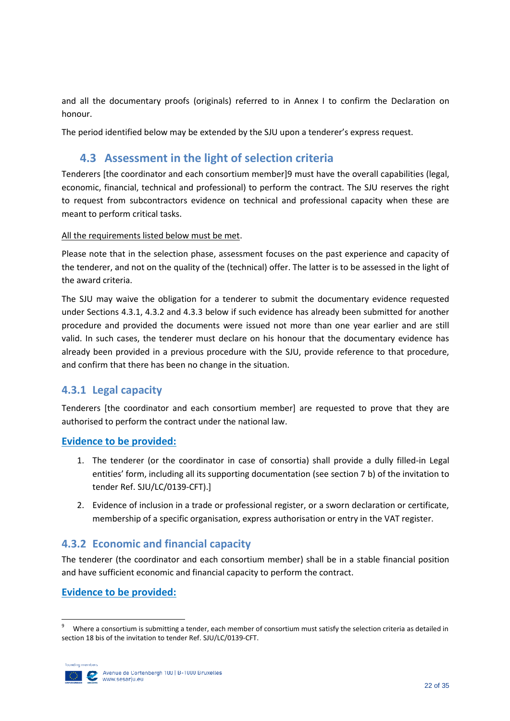and all the documentary proofs (originals) referred to in Annex I to confirm the Declaration on honour.

<span id="page-23-0"></span>The period identified below may be extended by the SJU upon a tenderer's express request.

## **4.3 Assessment in the light of selection criteria**

Tenderers [the coordinator and each consortium member]9 must have the overall capabilities (legal, economic, financial, technical and professional) to perform the contract. The SJU reserves the right to request from subcontractors evidence on technical and professional capacity when these are meant to perform critical tasks.

All the requirements listed below must be met.

Please note that in the selection phase, assessment focuses on the past experience and capacity of the tenderer, and not on the quality of the (technical) offer. The latter is to be assessed in the light of the award criteria.

The SJU may waive the obligation for a tenderer to submit the documentary evidence requested under Sections 4.3.1, 4.3.2 and 4.3.3 below if such evidence has already been submitted for another procedure and provided the documents were issued not more than one year earlier and are still valid. In such cases, the tenderer must declare on his honour that the documentary evidence has already been provided in a previous procedure with the SJU, provide reference to that procedure, and confirm that there has been no change in the situation.

### <span id="page-23-1"></span>**4.3.1 Legal capacity**

Tenderers [the coordinator and each consortium member] are requested to prove that they are authorised to perform the contract under the national law.

#### **Evidence to be provided:**

- 1. The tenderer (or the coordinator in case of consortia) shall provide a dully filled-in Legal entities' form, including all its supporting documentation (see section 7 b) of the invitation to tender Ref. SJU/LC/0139-CFT).]
- 2. Evidence of inclusion in a trade or professional register, or a sworn declaration or certificate, membership of a specific organisation, express authorisation or entry in the VAT register.

### <span id="page-23-2"></span>**4.3.2 Economic and financial capacity**

The tenderer (the coordinator and each consortium member) shall be in a stable financial position and have sufficient economic and financial capacity to perform the contract.

### **Evidence to be provided:**

ــ<br>9 Where a consortium is submitting a tender, each member of consortium must satisfy the selection criteria as detailed in section 18 bis of the invitation to tender Ref. SJU/LC/0139-CFT.

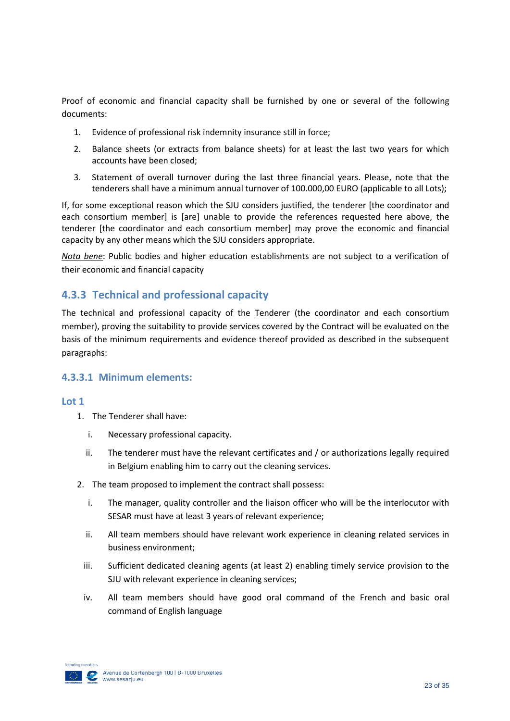Proof of economic and financial capacity shall be furnished by one or several of the following documents:

- 1. Evidence of professional risk indemnity insurance still in force;
- 2. Balance sheets (or extracts from balance sheets) for at least the last two years for which accounts have been closed;
- 3. Statement of overall turnover during the last three financial years. Please, note that the tenderers shall have a minimum annual turnover of 100.000,00 EURO (applicable to all Lots);

If, for some exceptional reason which the SJU considers justified, the tenderer [the coordinator and each consortium member] is [are] unable to provide the references requested here above, the tenderer [the coordinator and each consortium member] may prove the economic and financial capacity by any other means which the SJU considers appropriate.

*Nota bene*: Public bodies and higher education establishments are not subject to a verification of their economic and financial capacity

### <span id="page-24-0"></span>**4.3.3 Technical and professional capacity**

The technical and professional capacity of the Tenderer (the coordinator and each consortium member), proving the suitability to provide services covered by the Contract will be evaluated on the basis of the minimum requirements and evidence thereof provided as described in the subsequent paragraphs:

#### **4.3.3.1 Minimum elements:**

#### **Lot 1**

- 1. The Tenderer shall have:
	- i. Necessary professional capacity*.*
	- ii. The tenderer must have the relevant certificates and / or authorizations legally required in Belgium enabling him to carry out the cleaning services.
- 2. The team proposed to implement the contract shall possess:
	- i. The manager, quality controller and the liaison officer who will be the interlocutor with SESAR must have at least 3 years of relevant experience;
	- ii. All team members should have relevant work experience in cleaning related services in business environment;
	- iii. Sufficient dedicated cleaning agents (at least 2) enabling timely service provision to the SJU with relevant experience in cleaning services;
	- iv. All team members should have good oral command of the French and basic oral command of English language

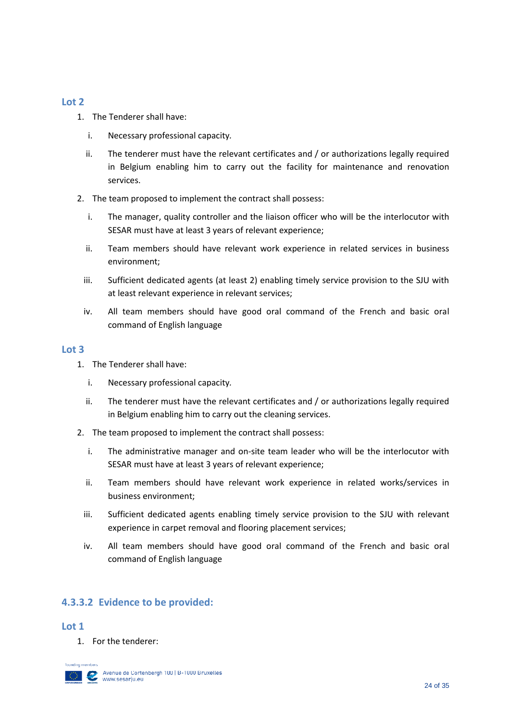#### **Lot 2**

- 1. The Tenderer shall have:
	- i. Necessary professional capacity*.*
	- ii. The tenderer must have the relevant certificates and / or authorizations legally required in Belgium enabling him to carry out the facility for maintenance and renovation services.
- 2. The team proposed to implement the contract shall possess:
	- i. The manager, quality controller and the liaison officer who will be the interlocutor with SESAR must have at least 3 years of relevant experience;
	- ii. Team members should have relevant work experience in related services in business environment;
	- iii. Sufficient dedicated agents (at least 2) enabling timely service provision to the SJU with at least relevant experience in relevant services;
	- iv. All team members should have good oral command of the French and basic oral command of English language

#### **Lot 3**

- 1. The Tenderer shall have:
	- i. Necessary professional capacity*.*
	- ii. The tenderer must have the relevant certificates and / or authorizations legally required in Belgium enabling him to carry out the cleaning services.
- 2. The team proposed to implement the contract shall possess:
	- i. The administrative manager and on-site team leader who will be the interlocutor with SESAR must have at least 3 years of relevant experience;
	- ii. Team members should have relevant work experience in related works/services in business environment;
	- iii. Sufficient dedicated agents enabling timely service provision to the SJU with relevant experience in carpet removal and flooring placement services;
	- iv. All team members should have good oral command of the French and basic oral command of English language

### **4.3.3.2 Evidence to be provided:**

#### **Lot 1**

1. For the tenderer:

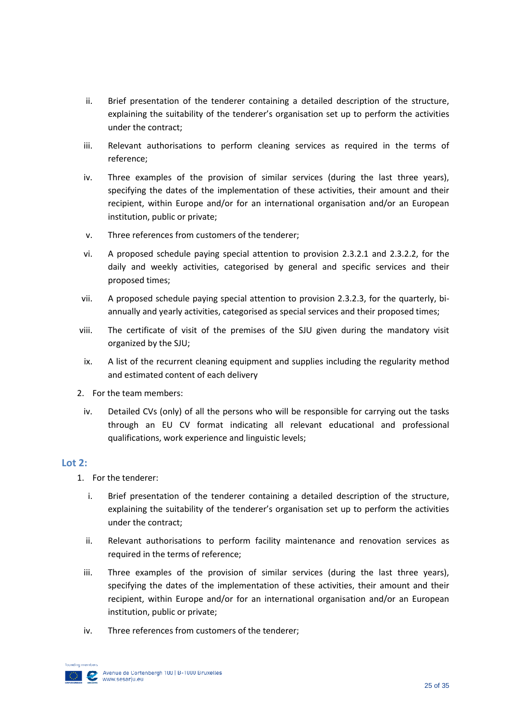- ii. Brief presentation of the tenderer containing a detailed description of the structure, explaining the suitability of the tenderer's organisation set up to perform the activities under the contract;
- iii. Relevant authorisations to perform cleaning services as required in the terms of reference;
- iv. Three examples of the provision of similar services (during the last three years), specifying the dates of the implementation of these activities, their amount and their recipient, within Europe and/or for an international organisation and/or an European institution, public or private;
- v. Three references from customers of the tenderer;
- vi. A proposed schedule paying special attention to provision 2.3.2.1 and 2.3.2.2, for the daily and weekly activities, categorised by general and specific services and their proposed times;
- vii. A proposed schedule paying special attention to provision 2.3.2.3, for the quarterly, biannually and yearly activities, categorised as special services and their proposed times;
- viii. The certificate of visit of the premises of the SJU given during the mandatory visit organized by the SJU;
- ix. A list of the recurrent cleaning equipment and supplies including the regularity method and estimated content of each delivery
- 2. For the team members:
	- iv. Detailed CVs (only) of all the persons who will be responsible for carrying out the tasks through an EU CV format indicating all relevant educational and professional qualifications, work experience and linguistic levels;

#### **Lot 2:**

- 1. For the tenderer:
	- i. Brief presentation of the tenderer containing a detailed description of the structure, explaining the suitability of the tenderer's organisation set up to perform the activities under the contract;
	- ii. Relevant authorisations to perform facility maintenance and renovation services as required in the terms of reference;
	- iii. Three examples of the provision of similar services (during the last three years), specifying the dates of the implementation of these activities, their amount and their recipient, within Europe and/or for an international organisation and/or an European institution, public or private;
	- iv. Three references from customers of the tenderer;

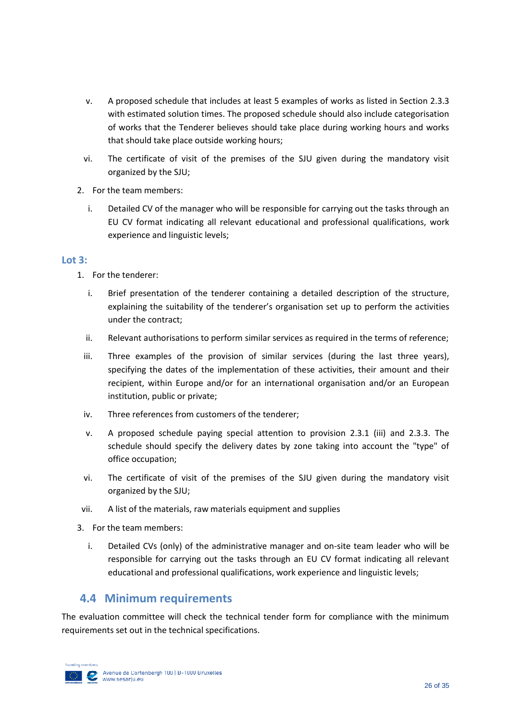- v. A proposed schedule that includes at least 5 examples of works as listed in Section 2.3.3 with estimated solution times. The proposed schedule should also include categorisation of works that the Tenderer believes should take place during working hours and works that should take place outside working hours;
- vi. The certificate of visit of the premises of the SJU given during the mandatory visit organized by the SJU;
- 2. For the team members:
	- i. Detailed CV of the manager who will be responsible for carrying out the tasks through an EU CV format indicating all relevant educational and professional qualifications, work experience and linguistic levels;

#### **Lot 3:**

- 1. For the tenderer:
	- i. Brief presentation of the tenderer containing a detailed description of the structure, explaining the suitability of the tenderer's organisation set up to perform the activities under the contract;
	- ii. Relevant authorisations to perform similar services as required in the terms of reference;
	- iii. Three examples of the provision of similar services (during the last three years), specifying the dates of the implementation of these activities, their amount and their recipient, within Europe and/or for an international organisation and/or an European institution, public or private;
	- iv. Three references from customers of the tenderer;
	- v. A proposed schedule paying special attention to provision 2.3.1 (iii) and 2.3.3. The schedule should specify the delivery dates by zone taking into account the "type" of office occupation;
	- vi. The certificate of visit of the premises of the SJU given during the mandatory visit organized by the SJU;
- vii. A list of the materials, raw materials equipment and supplies
- 3. For the team members:
	- i. Detailed CVs (only) of the administrative manager and on-site team leader who will be responsible for carrying out the tasks through an EU CV format indicating all relevant educational and professional qualifications, work experience and linguistic levels;

### <span id="page-27-0"></span>**4.4 Minimum requirements**

The evaluation committee will check the technical tender form for compliance with the minimum requirements set out in the technical specifications.

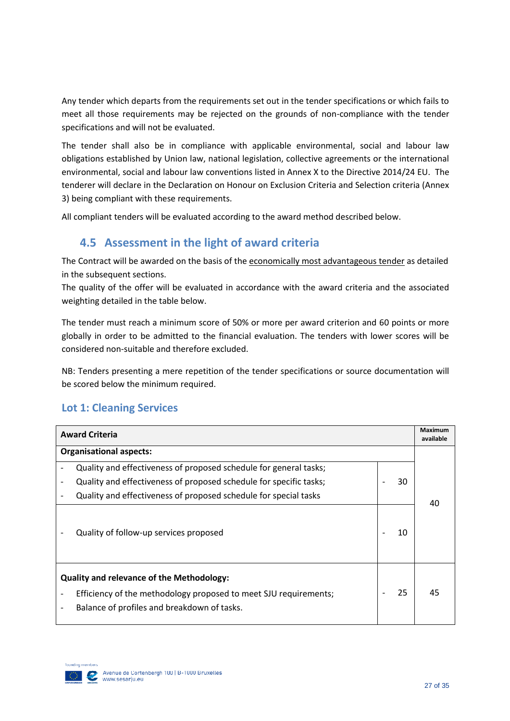Any tender which departs from the requirements set out in the tender specifications or which fails to meet all those requirements may be rejected on the grounds of non-compliance with the tender specifications and will not be evaluated.

The tender shall also be in compliance with applicable environmental, social and labour law obligations established by Union law, national legislation, collective agreements or the international environmental, social and labour law conventions listed in Annex X to the Directive 2014/24 EU. The tenderer will declare in the Declaration on Honour on Exclusion Criteria and Selection criteria (Annex 3) being compliant with these requirements.

<span id="page-28-0"></span>All compliant tenders will be evaluated according to the award method described below.

### **4.5 Assessment in the light of award criteria**

The Contract will be awarded on the basis of the economically most advantageous tender as detailed in the subsequent sections.

The quality of the offer will be evaluated in accordance with the award criteria and the associated weighting detailed in the table below.

The tender must reach a minimum score of 50% or more per award criterion and 60 points or more globally in order to be admitted to the financial evaluation. The tenders with lower scores will be considered non-suitable and therefore excluded.

NB: Tenders presenting a mere repetition of the tender specifications or source documentation will be scored below the minimum required.

### **Lot 1: Cleaning Services**

| <b>Award Criteria</b>          |                                                                                                                                                                     | <b>Maximum</b><br>available |    |    |
|--------------------------------|---------------------------------------------------------------------------------------------------------------------------------------------------------------------|-----------------------------|----|----|
| <b>Organisational aspects:</b> |                                                                                                                                                                     |                             |    |    |
|                                | Quality and effectiveness of proposed schedule for general tasks;                                                                                                   |                             |    |    |
|                                | Quality and effectiveness of proposed schedule for specific tasks;                                                                                                  |                             | 30 |    |
|                                | Quality and effectiveness of proposed schedule for special tasks                                                                                                    |                             |    | 40 |
|                                | Quality of follow-up services proposed                                                                                                                              |                             | 10 |    |
|                                | <b>Quality and relevance of the Methodology:</b><br>Efficiency of the methodology proposed to meet SJU requirements;<br>Balance of profiles and breakdown of tasks. |                             | 25 | 45 |

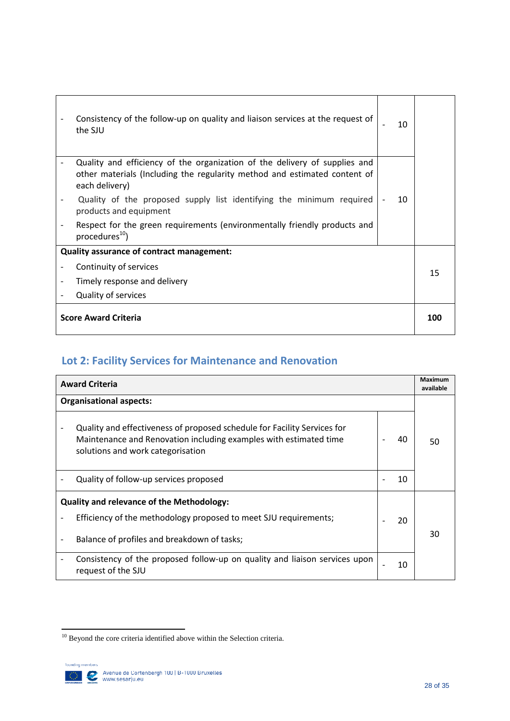|                             | Consistency of the follow-up on quality and liaison services at the request of<br>the SJU                                                                                 | 10  |    |
|-----------------------------|---------------------------------------------------------------------------------------------------------------------------------------------------------------------------|-----|----|
|                             | Quality and efficiency of the organization of the delivery of supplies and<br>other materials (Including the regularity method and estimated content of<br>each delivery) |     |    |
|                             | Quality of the proposed supply list identifying the minimum required<br>products and equipment                                                                            | 10  |    |
|                             | Respect for the green requirements (environmentally friendly products and<br>procedures <sup>10</sup> )                                                                   |     |    |
|                             | Quality assurance of contract management:                                                                                                                                 |     |    |
|                             | Continuity of services                                                                                                                                                    |     | 15 |
|                             | Timely response and delivery                                                                                                                                              |     |    |
|                             | <b>Quality of services</b>                                                                                                                                                |     |    |
| <b>Score Award Criteria</b> |                                                                                                                                                                           | 100 |    |

# **Lot 2: Facility Services for Maintenance and Renovation**

| <b>Award Criteria</b>                                                                                                                                                              |  | Maximum<br>available |    |
|------------------------------------------------------------------------------------------------------------------------------------------------------------------------------------|--|----------------------|----|
| <b>Organisational aspects:</b>                                                                                                                                                     |  |                      |    |
| Quality and effectiveness of proposed schedule for Facility Services for<br>Maintenance and Renovation including examples with estimated time<br>solutions and work categorisation |  | 40                   | 50 |
| Quality of follow-up services proposed                                                                                                                                             |  | 10                   |    |
| <b>Quality and relevance of the Methodology:</b>                                                                                                                                   |  |                      |    |
| Efficiency of the methodology proposed to meet SJU requirements;                                                                                                                   |  | 20                   |    |
| Balance of profiles and breakdown of tasks;                                                                                                                                        |  |                      | 30 |
| Consistency of the proposed follow-up on quality and liaison services upon<br>request of the SJU                                                                                   |  | 10                   |    |

**<sup>.</sup>**  $10$  Beyond the core criteria identified above within the Selection criteria.

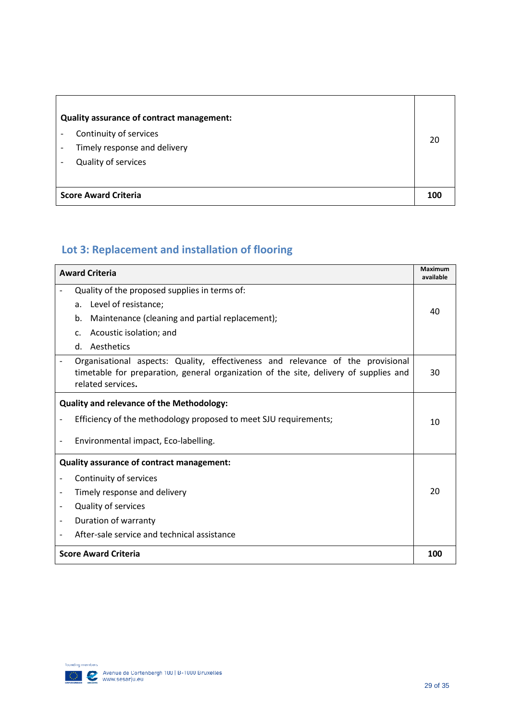|                             | Quality assurance of contract management:<br>Continuity of services<br>Timely response and delivery<br>Quality of services | 20  |
|-----------------------------|----------------------------------------------------------------------------------------------------------------------------|-----|
| <b>Score Award Criteria</b> |                                                                                                                            | 100 |

# **Lot 3: Replacement and installation of flooring**

| <b>Award Criteria</b>                                                                                                                                                                         |     |  |
|-----------------------------------------------------------------------------------------------------------------------------------------------------------------------------------------------|-----|--|
| Quality of the proposed supplies in terms of:                                                                                                                                                 |     |  |
| Level of resistance;<br>a.                                                                                                                                                                    | 40  |  |
| Maintenance (cleaning and partial replacement);<br>b.                                                                                                                                         |     |  |
| Acoustic isolation; and<br>C.                                                                                                                                                                 |     |  |
| Aesthetics<br>d.                                                                                                                                                                              |     |  |
| Organisational aspects: Quality, effectiveness and relevance of the provisional<br>timetable for preparation, general organization of the site, delivery of supplies and<br>related services. | 30  |  |
| <b>Quality and relevance of the Methodology:</b>                                                                                                                                              |     |  |
| Efficiency of the methodology proposed to meet SJU requirements;                                                                                                                              | 10  |  |
| Environmental impact, Eco-labelling.                                                                                                                                                          |     |  |
| Quality assurance of contract management:                                                                                                                                                     |     |  |
| Continuity of services                                                                                                                                                                        |     |  |
| Timely response and delivery<br>$\overline{\phantom{a}}$                                                                                                                                      | 20  |  |
| <b>Quality of services</b>                                                                                                                                                                    |     |  |
| Duration of warranty<br>$\overline{\phantom{a}}$                                                                                                                                              |     |  |
| After-sale service and technical assistance                                                                                                                                                   |     |  |
| <b>Score Award Criteria</b>                                                                                                                                                                   | 100 |  |

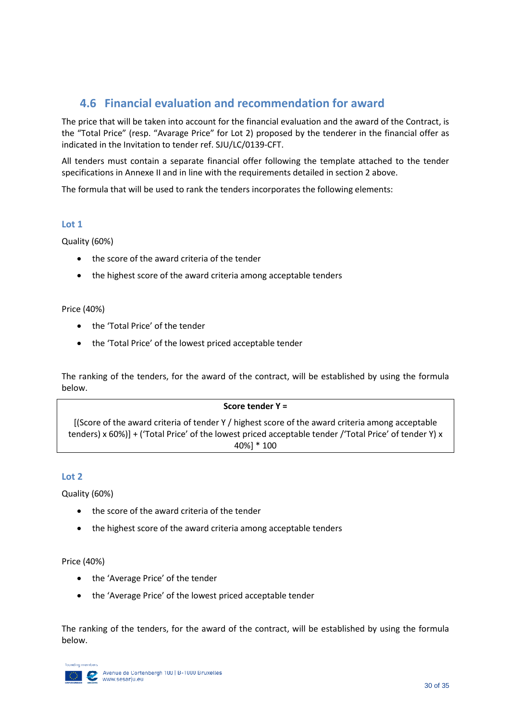### <span id="page-31-0"></span>**4.6 Financial evaluation and recommendation for award**

The price that will be taken into account for the financial evaluation and the award of the Contract, is the "Total Price" (resp. "Avarage Price" for Lot 2) proposed by the tenderer in the financial offer as indicated in the Invitation to tender ref. SJU/LC/0139-CFT.

All tenders must contain a separate financial offer following the template attached to the tender specifications in Annexe II and in line with the requirements detailed in section 2 above.

The formula that will be used to rank the tenders incorporates the following elements:

#### **Lot 1**

Quality (60%)

- the score of the award criteria of the tender
- the highest score of the award criteria among acceptable tenders

#### Price (40%)

- the 'Total Price' of the tender
- the 'Total Price' of the lowest priced acceptable tender

The ranking of the tenders, for the award of the contract, will be established by using the formula below.

#### **Score tender Y =**

[(Score of the award criteria of tender Y / highest score of the award criteria among acceptable tenders) x 60%)] + ('Total Price' of the lowest priced acceptable tender /'Total Price' of tender Y) x 40%] \* 100

#### **Lot 2**

Quality (60%)

- the score of the award criteria of the tender
- the highest score of the award criteria among acceptable tenders

#### Price (40%)

- the 'Average Price' of the tender
- the 'Average Price' of the lowest priced acceptable tender

The ranking of the tenders, for the award of the contract, will be established by using the formula below.

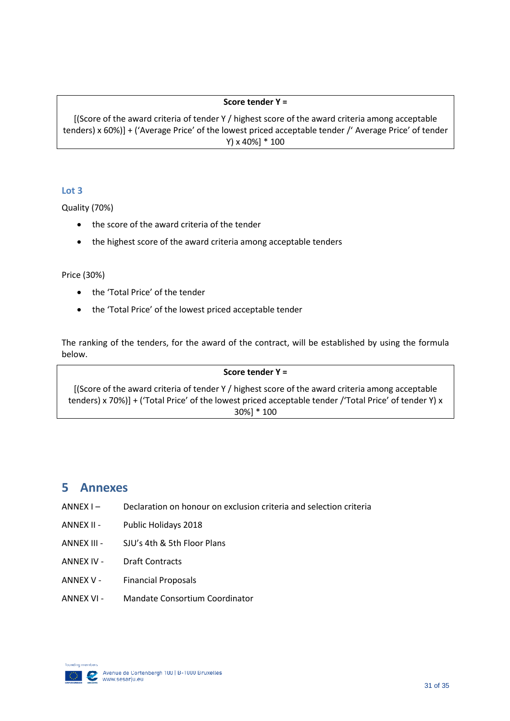#### **Score tender Y =**

[(Score of the award criteria of tender Y / highest score of the award criteria among acceptable tenders) x 60%)] + ('Average Price' of the lowest priced acceptable tender /' Average Price' of tender Y) x 40%] \* 100

#### **Lot 3**

Quality (70%)

- the score of the award criteria of the tender
- the highest score of the award criteria among acceptable tenders

#### Price (30%)

- the 'Total Price' of the tender
- the 'Total Price' of the lowest priced acceptable tender

The ranking of the tenders, for the award of the contract, will be established by using the formula below.

#### **Score tender Y =**

[(Score of the award criteria of tender Y / highest score of the award criteria among acceptable tenders) x 70%)] + ('Total Price' of the lowest priced acceptable tender /'Total Price' of tender Y) x 30%] \* 100

# <span id="page-32-0"></span>**5 Annexes**

- ANNEX I Declaration on honour on exclusion criteria and selection criteria
- ANNEX II Public Holidays 2018
- ANNEX III SJU's 4th & 5th Floor Plans
- ANNEX IV Draft Contracts
- ANNEX V Financial Proposals
- ANNEX VI Mandate Consortium Coordinator

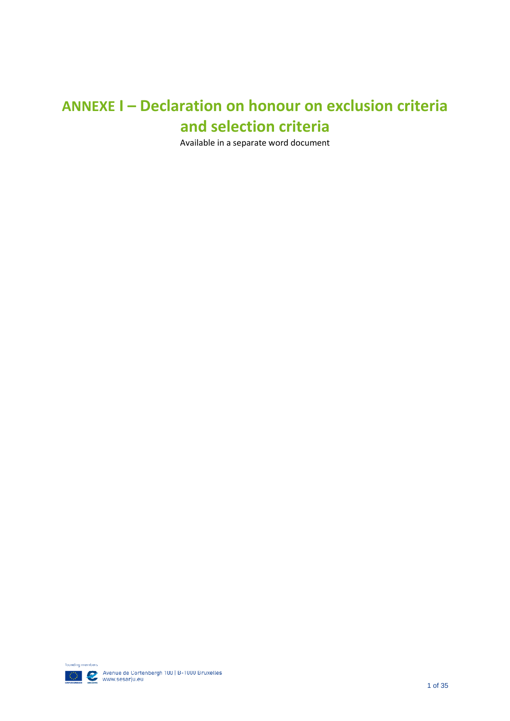# **ANNEXE I – Declaration on honour on exclusion criteria and selection criteria**

Available in a separate word document

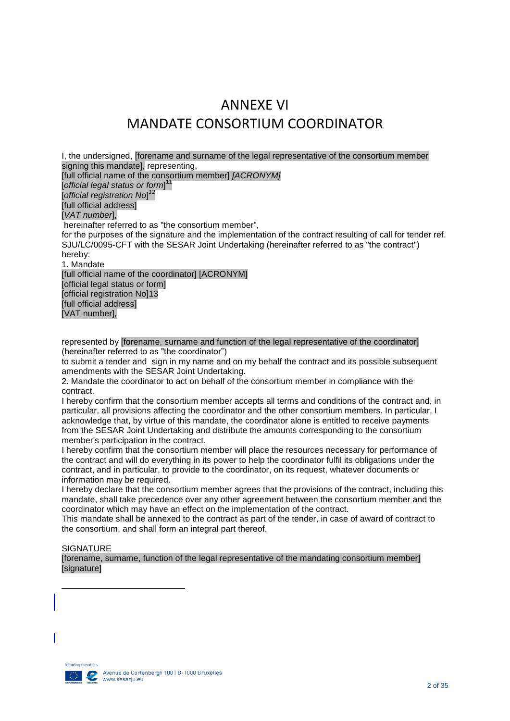# ANNEXE VI MANDATE CONSORTIUM COORDINATOR

I, the undersigned, [forename and surname of the legal representative of the consortium member signing this mandatel, representing, [full official name of the consortium member] *[ACRONYM]* [*official legal status or form*] 11 [*official registration No*] *12* [full official address] [*VAT number*], hereinafter referred to as "the consortium member", for the purposes of the signature and the implementation of the contract resulting of call for tender ref. SJU/LC/0095-CFT with the SESAR Joint Undertaking (hereinafter referred to as "the contract") hereby: 1. Mandate [full official name of the coordinator] [ACRONYM] [official legal status or form] [official registration No]13 [full official address] [VAT number],

represented by [forename, surname and function of the legal representative of the coordinator] (hereinafter referred to as "the coordinator")

to submit a tender and sign in my name and on my behalf the contract and its possible subsequent amendments with the SESAR Joint Undertaking.

2. Mandate the coordinator to act on behalf of the consortium member in compliance with the contract.

I hereby confirm that the consortium member accepts all terms and conditions of the contract and, in particular, all provisions affecting the coordinator and the other consortium members. In particular, I acknowledge that, by virtue of this mandate, the coordinator alone is entitled to receive payments from the SESAR Joint Undertaking and distribute the amounts corresponding to the consortium member's participation in the contract.

I hereby confirm that the consortium member will place the resources necessary for performance of the contract and will do everything in its power to help the coordinator fulfil its obligations under the contract, and in particular, to provide to the coordinator, on its request, whatever documents or information may be required.

I hereby declare that the consortium member agrees that the provisions of the contract, including this mandate, shall take precedence over any other agreement between the consortium member and the coordinator which may have an effect on the implementation of the contract.

This mandate shall be annexed to the contract as part of the tender, in case of award of contract to the consortium, and shall form an integral part thereof.

#### **SIGNATURE**

**.** 

[forename, surname, function of the legal representative of the mandating consortium member] [signature]